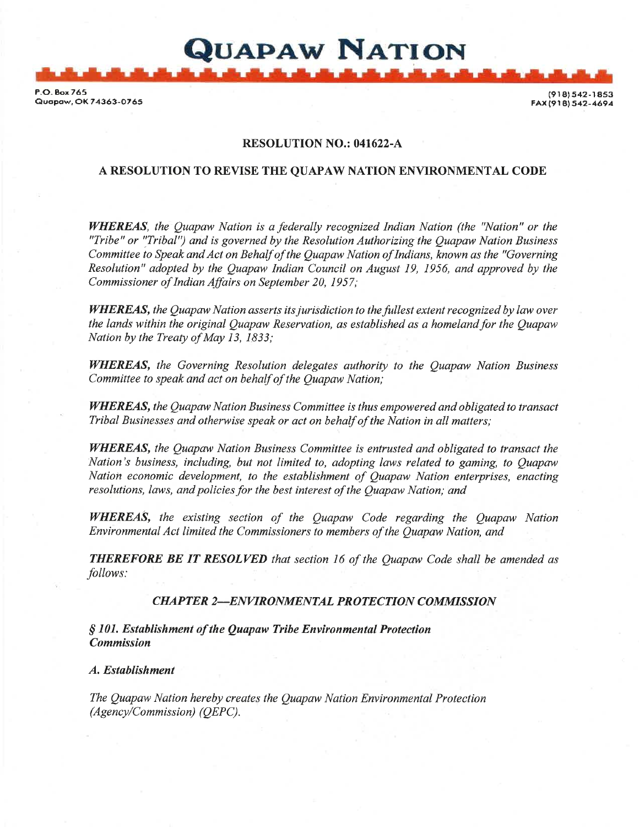F-O- 8ox765 Guapaw, OK 74363-0765

(918) 542-1853 FAX (918) 542-4694

# RESOLUTION NO.: 041622-A

QUAPAW NATION

# A RESOLUTION TO REVISE THE QUAPAW NATION ENVIRONMENTAL CODE

WHEREAS, the Quapaw Nation is a federally recognized Indian Nation (the "Nation" or the "Tribe" or "Tribal") and is governed by the Resolution Authorizing the Quapaw Nation Business Committee to Speak and Act on Behalf of the Quapaw Nation of Indians, known as the "Governing Resolution" adopted by the Quapaw Indian Council on August 19, 1956, and approved by the Commissioner of Indian Affairs on Seplember 20, 1957;

WHEREAS, the Quapaw Nation asserts its jurisdiction to the fullest extent recognized by law over the lands within the original Ouapaw Reservation, as established as a homeland for the Ouapaw Nation by the Treaty of May 13, 1833;

WHEREAS, the Governing Resolution delegates authority to the Quapaw Nation Business Committee to speak and act on behalf of the Quapaw Nation;

**WHEREAS,** the Quapaw Nation Business Committee is thus empowered and obligated to transact Tribal Businesses and otherwise speak or act on behalf of the Nation in all matters;

WHEREAS, the Quapaw Nation Business Committee is entrusted and obligated to transact the Nation's business, including, but not limited to, adopting laws reLated to gaming, to Quapaw Nation economic development, to the establishment of Quapaw Nation enterprises, enacting resolutions, laws, and policies for the best interest of the Ouapaw Nation; and

WHEREAS, the existing section of the Quapaw Code regarding the Quapaw Nation Environmental Act limited the Commissioners to members of the Quapaw Nation, and

**THEREFORE BE IT RESOLVED** that section 16 of the Quapaw Code shall be amended as follows:

#### CHAPTER 2-ENVIRONMENTAL PROTECTION COMMISSION

<sup>S</sup>101. Establishment of the Quapaw Tribe Environmental Protection Commission

A. Establishment

The Quapaw Nation hereby creates the Quapaw Nation Environmental Protection  $(Agency/Commission)$  (QEPC).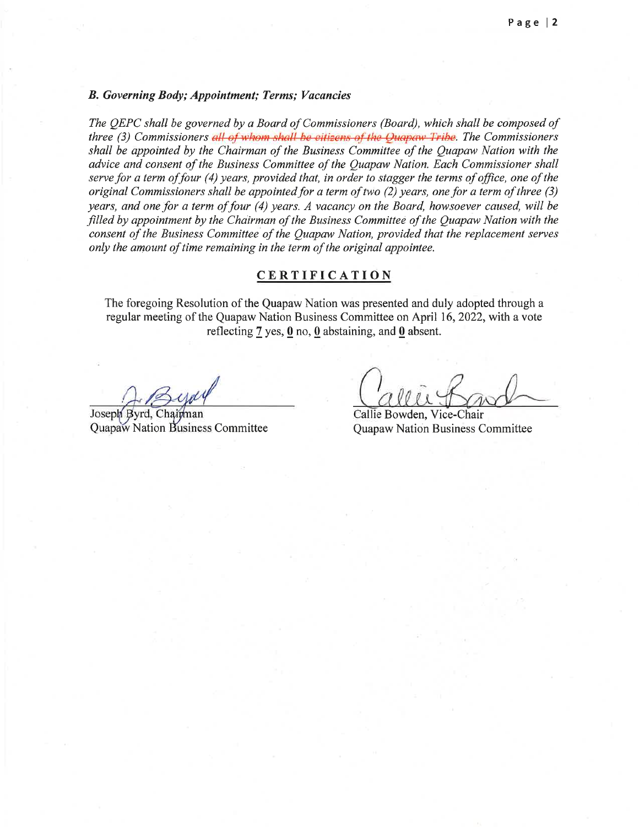#### B. Governing Body; Appointment; Terms; Vacancies

The QEPC shall be governed by a Board of Commissioners (Board), which shall be composed of three (3) Commissioners all of whom shall be citizens of the Quapaw Tribe. The Commissioners shall be appointed by the Chairman of the Business Committee of the Quapaw Nation with the advice and consent of the Business Committee of the Quapaw Nation. Each Commissioner shall serve for a term of four (4) years, provided that, in order to stagger the terms of office, one of the original Commissioners shall be appointed for a term of two  $(2)$  years, one for a term of three  $(3)$ years, and one for a term of four  $(4)$  years. A vacancy on the Board, howsoever caused, will be filled by appointment by the Chairman of the Business Committee of the Quapaw Nation with the consent of the Business Committee of the Quapaw Nation, provided that the replacement serves only the amount of time remaining in the term of the original appointee.

# **CERTIFICATION**

The foregoing Resolution of the Quapaw Nation was presented and duly adopted through a regular meeting of the Quapaw Nation Business Committee on April 16,2022, with a vote reflecting  $\frac{7}{2}$  yes,  $\frac{0}{2}$  no,  $\frac{0}{2}$  abstaining, and  $\frac{0}{2}$  absent.

Joseph Byrd, Chairman

Callie Bowden, Vice-Chair Quapaw Nation Business Committee **Quapaw Nation Business Committee**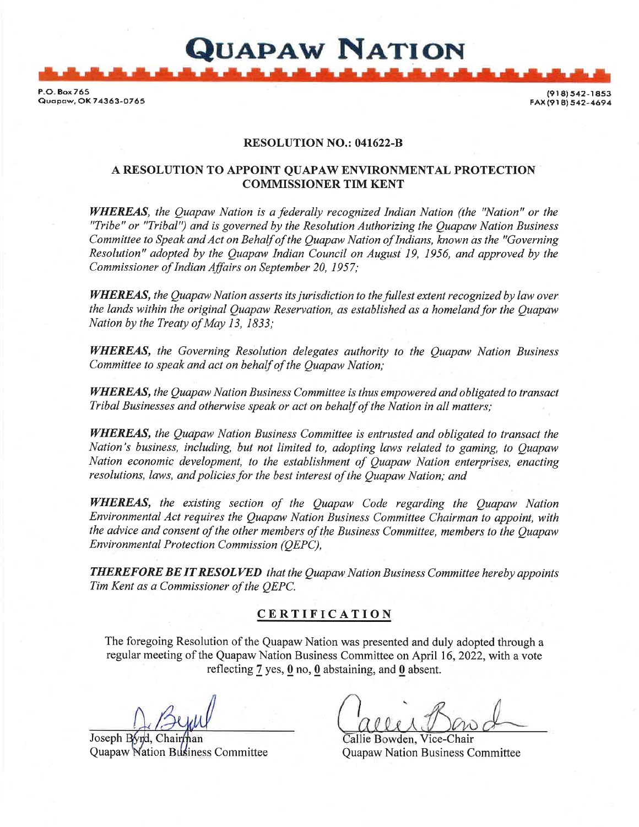P-O.8ox765 Guapaw, OK 74363-0765

(918) 542-1853 FAX (918) 542-4694

#### RESOLUTION NO.: 041622-B

QUAPAW NATION

## A RESOLUTION TO APPOINT QUAPAW ENVIRONMENTAL PROTECTION COMMISSIONER TIM KENT

WHEREAS, the Quapaw Nation is a federally recognized Indian Nation (the "Nation" or the "Tribe" or "Tribal") and is governed by the Resolution Authorizing the Quapaw Nation Business Committee to Speak and Act on Behalf of the Quapaw Nation of Indians, known as the "Governing Resolution" adopted by the Quapaw Indian Council on Augusi 19, 1956, and approved by the Commissioner of Indian Affairs on September 20, 1957;

WHEREAS, the Quapaw Nation asserts its jurisdiction to the fullest extent recognized by law over the lands within the original Quapaw Reservation, as established as a homeland for the Quapaw Nation by the Treaty of May 13, 1833;

WHEREAS, the Governing Resolution delegates authority to the Ouapaw Nation Business Committee to speak and act on behalf of the Quapaw Nation;

WHEREAS, the Quapaw Nation Business Committee is thus empowered and obligated to transact Tribal Businesses and otherwise speak or act on behalf of the Nation in all matters;

WHEREAS, the Quapaw Nation Business Committee is entrusted and obligated to transact the Nation's business, including, but not limited to, odopting laws related to gaming, to Quapaw Nation economie development, to the establishment of Quapaw Nation enterprises, enacting resolutions, laws, and policies for the best interest of the Quapaw Nation; and

WHEREAS, the existing section of the Quapaw Code regarding the Quapaw Nation Environmental Act requires the Quapaw Nation Business Committee Chairman to appoint, with the advice and consent of the other members of the Business Committee, members to the Quapaw Environmental Protection Commission (QEPC),

**THEREFORE BE IT RESOLVED** that the Quapaw Nation Business Committee hereby appoints Tim Kent as a Commissioner of the QEPC.

# **CERTIFICATION**

The foregoing Resolution of the Quapaw Nation was presented and duly adopted through <sup>a</sup> regular meeting of the Quapaw Nation Business Committee on April 16,2022, with a vote reflecting  $7$  yes,  $0$  no,  $0$  abstaining, and  $0$  absent.

Joseph Byrd, Chain Quapaw Nation Business Committee Quapaw Nation Business Committee

llie Bowden, Vice-Chair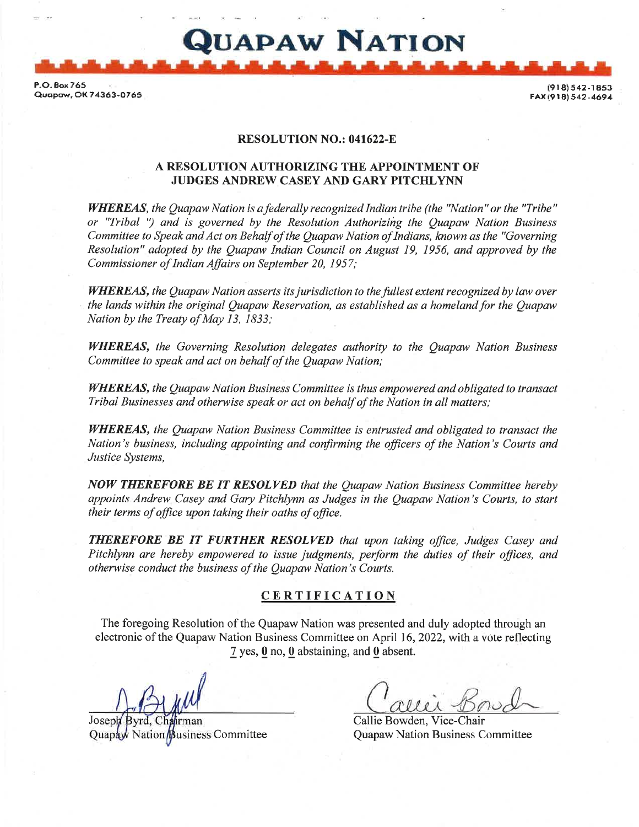P.O.Box 765 <br>Current OK 71348, 0756 **(918)** FAx Quapaw, OX 74363-O765 {9r81 542-4694

### RESOLUTION NO.: 041622-E

Quapaw Nation

# A RESOLUTION AUTHORIZING THE APPOINTMENT OF JUDGES ANDREW CASEY AND GARY PITCHLYNN

WHEREAS, the Quapaw Nation is a federally recognized Indian tribe (the "Nation" or the "Tribe" or "Tribal ") and is governed by the Resolution Authoriziig the Quapaw Nation Business Committee to Speak and Act on Behalf of the Quapaw Nation of Indians, known as the "Governing Resolution" adopted by the Quapaw Indian Council on August 19, 1956, and approved by the Commissioner of Indian Affairs on September 20, 1957;

WHEREAS, the Quapaw Nation asserts its jurisdiction to the fullest extent recognized by law over the lands within the original Quapaw Reservation, as established as a homeland for the Quapaw Nation by the Treaty of May 13, 1833;

WHEREAS, the Governing Resolution delegates authority to the Quapaw Nation Business Committee to speak and act on behalf of the Quapaw Nation;

WHEREAS, the Quapaw Nation Business Committee is thus empowered and obligated to transact Tribal Businesses and otherwise speak or act on behalf of the Nation in all matters,'

WHEREAS, the Quapaw Nation Business Committee is entrusted and obligated to transact the Nation's business, including appointing and confirming the officers of the Nation's Courts and Justice Systems,

NOW THEREFORE BE IT RESOLVED that the Quapaw Nation Business Committee hereby appoints Andrew Casey and Gary Pitchlynn as Judges in the Quapaw Nation's Courts, to start their terms of office upon taking their oaths of office.

THEREFORE BE IT FURTHER RESOLVED that upon taking office, Judges Casey and Pitchlynn are hereby empowered to issue judgments, perform the duties of their offices, and otherwise conduct the business of the Quapaw Nation's Courts.

#### CERTIFICATION

The foregoing Resolution of the Quapaw Nation was presented and duly adopted through an electronic of the Quapaw Nation Business Committee on April 16,2022, with a vote reflecting 7 yes, 0 no, 0 abstaining, and 0 absent.

**J**oseph Quapaw Nation Business Committee

Callie Bowden, Vice-Chair Quapaw Nation Business Committee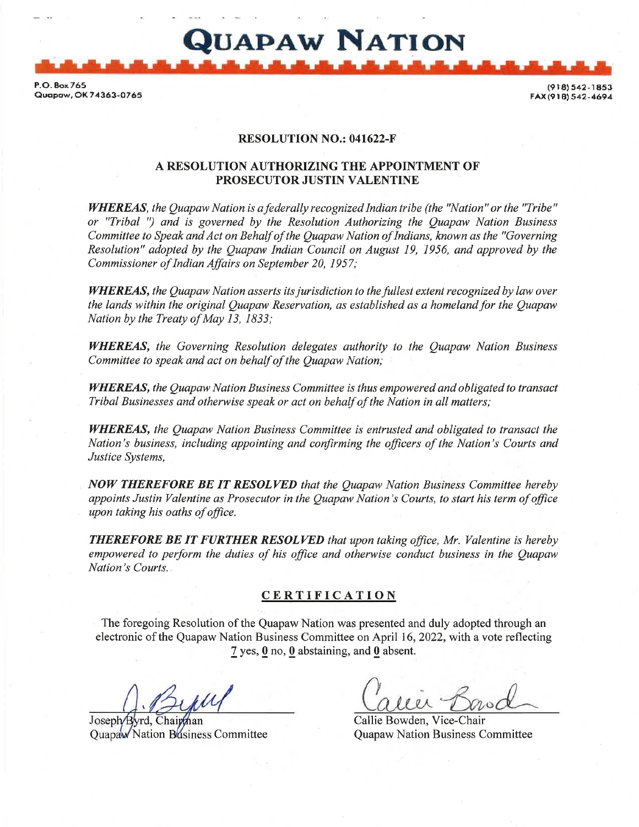P.O. Box 765<br>Quapaw, OK 74363-0765 2.0. Box 765 (918) 342-1853 } [978) 9.0. P.O. Box 765 [978] 542-1853<br>Quapaw, OK 74363-0765 [978] 542-4694 [978] 542-4694 [978] 542-4694

FAX(918) 542-4694

# RESOLUTION NO.: 041622-F

Quapaw Nation

#### A RESOLUTION AUTHORIZING THE APPOINTMENT OF PROSECUTOR JUSTIN VALENTINE

WHEREAS, the Quapaw Nation is a federally recognized Indian tribe (the "Nation" or the "Tribe" or "Tribal ") and is governed by the Resolution Authorizing the Quapaw Nation Business Committee to Speak and Act on Behalf of the Quapaw Nation of Indians, known as the "Governing Resolution" adopted by the Quapaw Indian Council on August 19, 1956, and approved by the Commissioner of Indian Affairs on September 20, 1957;

WHEREAS, the Quapaw Nation asserts its jurisdiction to the fullest extent recognized by law over the lands within the original Quapaw Reservation, as established as a homeland for the Quapaw Nation by the Treaty of May 13, 1833;

WHEREAS, the Governing Resolution delegates authority to the Quapaw Nation Business Committee to speak and act on behalf of the Quapaw Nation;

WHEREAS, the Quapaw Nation Business Committee is thus empowered and obligated to transact Tribal Businesses and otherwise speak or act on behalf of the Nation in all matters;

WHEREAS, the Quapaw Nation Business Committee is entrusted and obligated to transact the Nation's business, including appointing and confirming the officers of the Nation's Courts and Justice Systems,

NOW THEREFORE BE IT RESOLVED that the Quapaw Nation Business Committee hereby appoints Justin Valentine as Prosecutor in the Quapaw Nation's Courts, to start his term of office upon taking his oaths of office.

**THEREFORE BE IT FURTHER RESOLVED** that upon taking office, Mr. Valentine is hereby empowered to perform the duties of his office and otherwise conduct business in the Quapaw Nation's Courts.

#### CERTIFICATION

The foregoing Resolution of the Quapaw Nation was presented and duly adopted through an electronic of the Quapaw Nation Business Committee on April 16,2022, with a vote reflecting 7 yes, 0 no, 0 abstaining, and 0 absent.

Joseph/Byrd, Chairthan Callie Bowden, Vice-Chair Quapaw Nation Business Committee **Quapaw Nation Business Committee**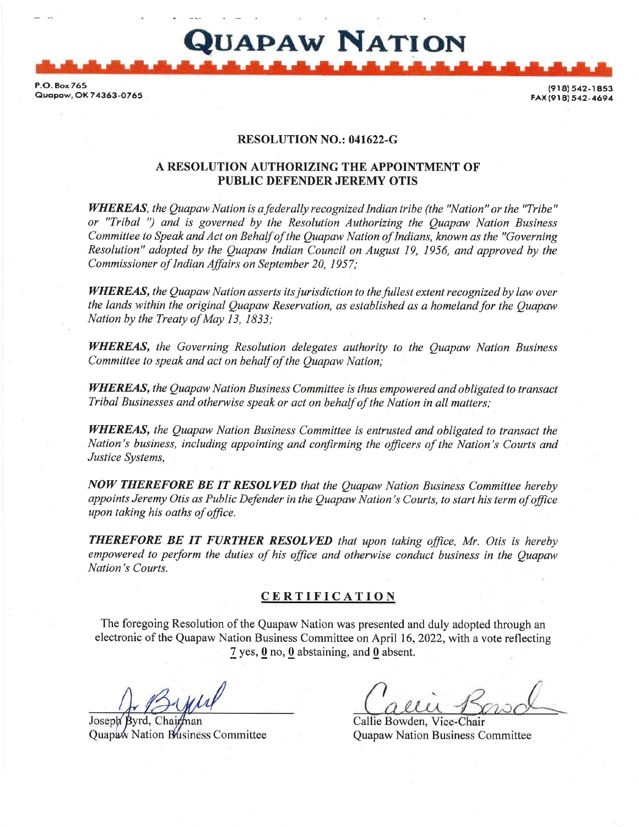P-O. Eox765 Quapaw, OK 74363-0765

542-1853 (918)<br>4694-642 (918) FAX -1853

# RESOLUTION NO.: 041622-G

QUAPAW NATION

# A RESOLUTION AUTHORIZING THE APPOINTMENT OF PUBLIC DEFENDER JEREMY OTIS

WHEREAS, the Quapaw Nation is a federally recognized Indian tribe (the "Nation" or the "Tribe" or "Tribal ") and is governed by the Resolution Authorizing the Quapaw Nation Business Committee to Speak and Act on Behalf of the Quapaw Nation of Indians, known as the "Governing Resolution" adopted by the Quapaw Indian Council on August 19, 1956, and approved by the Commissioner of Indian Affairs on September 20, 1957;

**WHEREAS, the Quapaw Nation asserts its jurisdiction to the fullest extent recognized by law over** the lands within the original Quapaw Reservation, as established as a homeland for the Quapaw Nation by the Treaty of May 13, I833;

WHEREAS, the Governing Resolution delegates authority to the Quapaw Nation Business Committee to speak and act on behalf of the Quapaw Nation;

WHEREAS, the Quapaw Nation Business Committee is thus empowered and obligated to transact Tribal Businesses and otherwise speak or act on behatf of the Nation in all matters;

WHEREAS, the Quapaw Nation Business Committee is entrusted and obligated to transact the Nation's business, including appointing and confirming the officers of the Nation's Courts and Justice Systems,

NOW THEREFORE BE IT RESOLVED that the Quapaw Nation Business Committee hereby appoints Jeremy Otis as Public Defender in the Quapaw Nation's Courts, to start his term of office upon taking his oaths of office.

THEREFORE BE IT FURTHER RESOLVED that upon taking office, Mr. Otis is hereby empowered to perform the duties of his office and otherwise conduct business in the Quapaw Nation's Courts.

#### CERTIFICATION

The foregoing Resolution of the Quapaw Nation was presented and duly adopted through an The foregoing Resolution of the Quapaw Nation was presented and duly adopted through an<br>electronic of the Quapaw Nation Business Committee on April 16, 2022, with a vote reflecting  $7$  yes,  $0$  no,  $0$  abstaining, and  $0$  absent.

Joseph

Callie Bowden, Vice-Chair Quapaw Nation Business Committee **Quapaw Nation Business Committee**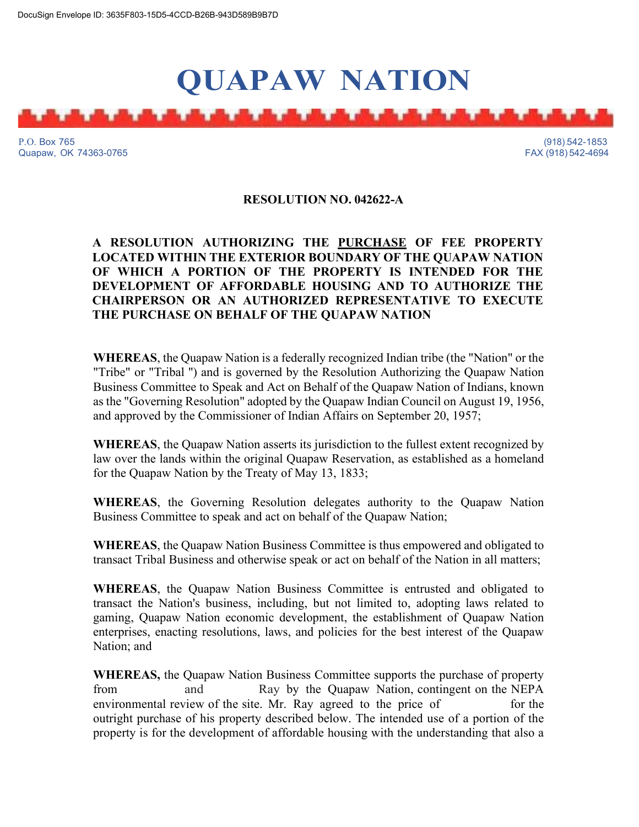# **QUAPAW NATION**

P.O. Box 765 (918).542-1853 Quapaw, OK 74363-0765 FAX (918) 542-4694

# **RESOLUTION NO. 042622-A**

# **A RESOLUTION AUTHORIZING THE PURCHASE OF FEE PROPERTY LOCATED WITHIN THE EXTERIOR BOUNDARY OF THE QUAPAW NATION OF WHICH A PORTION OF THE PROPERTY IS INTENDED FOR THE DEVELOPMENT OF AFFORDABLE HOUSING AND TO AUTHORIZE THE CHAIRPERSON OR AN AUTHORIZED REPRESENTATIVE TO EXECUTE THE PURCHASE ON BEHALF OF THE QUAPAW NATION**

**WHEREAS**, the Quapaw Nation is a federally recognized Indian tribe (the "Nation" or the "Tribe" or "Tribal '') and is governed by the Resolution Authorizing the Quapaw Nation Business Committee to Speak and Act on Behalf of the Quapaw Nation of Indians, known as the "Governing Resolution" adopted by the Quapaw Indian Council on August 19, 1956, and approved by the Commissioner of Indian Affairs on September 20, 1957;

**WHEREAS**, the Quapaw Nation asserts its jurisdiction to the fullest extent recognized by law over the lands within the original Quapaw Reservation, as established as a homeland for the Quapaw Nation by the Treaty of May 13, 1833;

**WHEREAS**, the Governing Resolution delegates authority to the Quapaw Nation Business Committee to speak and act on behalf of the Quapaw Nation;

**WHEREAS**, the Quapaw Nation Business Committee is thus empowered and obligated to transact Tribal Business and otherwise speak or act on behalf of the Nation in all matters;

**WHEREAS**, the Quapaw Nation Business Committee is entrusted and obligated to transact the Nation's business, including, but not limited to, adopting laws related to gaming, Quapaw Nation economic development, the establishment of Quapaw Nation enterprises, enacting resolutions, laws, and policies for the best interest of the Quapaw Nation; and

**WHEREAS,** the Quapaw Nation Business Committee supports the purchase of property from and Ray by the Quapaw Nation, contingent on the NEPA environmental review of the site. Mr. Ray agreed to the price of for the outright purchase of his property described below. The intended use of a portion of the property is for the development of affordable housing with the understanding that also a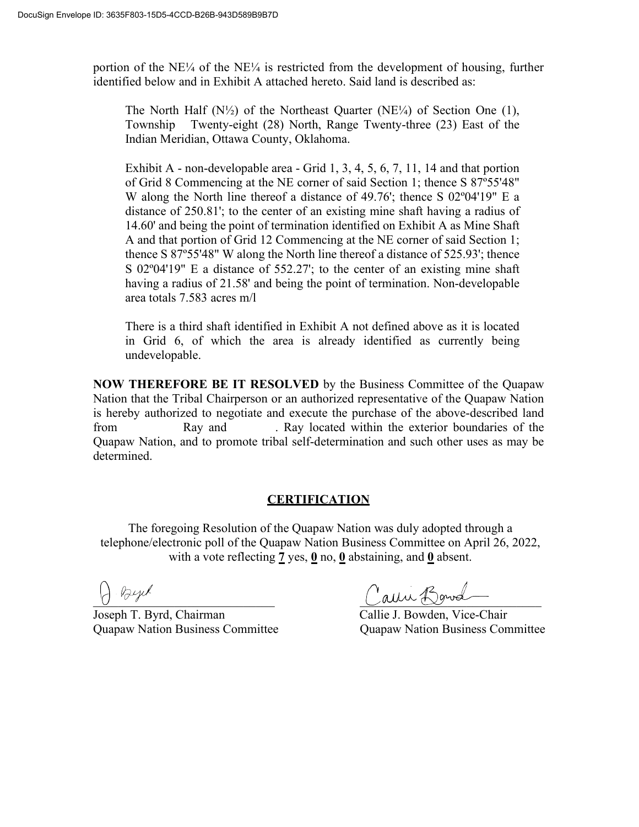portion of the  $NE\frac{1}{4}$  of the  $NE\frac{1}{4}$  is restricted from the development of housing, further identified below and in Exhibit A attached hereto. Said land is described as:

The North Half  $(N\frac{1}{2})$  of the Northeast Quarter (NE<sup> $1/4$ </sup>) of Section One (1), Township Twenty-eight (28) North, Range Twenty-three (23) East of the Indian Meridian, Ottawa County, Oklahoma.

Exhibit A - non-developable area - Grid 1, 3, 4, 5, 6, 7, 11, 14 and that portion of Grid 8 Commencing at the NE corner of said Section 1; thence S 87º55'48" W along the North line thereof a distance of 49.76'; thence S 02º04'19" E a distance of 250.81'; to the center of an existing mine shaft having a radius of 14.60' and being the point of termination identified on Exhibit A as Mine Shaft A and that portion of Grid 12 Commencing at the NE corner of said Section 1; thence S 87º55'48" W along the North line thereof a distance of 525.93'; thence S 02º04'19" E a distance of 552.27'; to the center of an existing mine shaft having a radius of 21.58' and being the point of termination. Non-developable area totals 7.583 acres m/l

There is a third shaft identified in Exhibit A not defined above as it is located in Grid 6, of which the area is already identified as currently being undevelopable.

**NOW THEREFORE BE IT RESOLVED** by the Business Committee of the Quapaw Nation that the Tribal Chairperson or an authorized representative of the Quapaw Nation is hereby authorized to negotiate and execute the purchase of the above-described land from Ray and . Ray located within the exterior boundaries of the Quapaw Nation, and to promote tribal self-determination and such other uses as may be determined.

# **CERTIFICATION**

The foregoing Resolution of the Quapaw Nation was duly adopted through a telephone/electronic poll of the Quapaw Nation Business Committee on April 26, 2022, with a vote reflecting **7** yes, **0** no, **0** abstaining, and **0** absent.

Joseph T. Byrd, Chairman Callie J. Bowden, Vice-Chair

\_\_\_\_\_\_\_\_\_\_\_\_\_\_\_\_\_\_\_\_\_\_\_\_\_\_\_\_\_ \_\_\_\_\_\_\_\_\_\_\_\_\_\_\_\_\_\_\_\_\_\_\_\_\_\_\_\_\_

Quapaw Nation Business Committee Quapaw Nation Business Committee